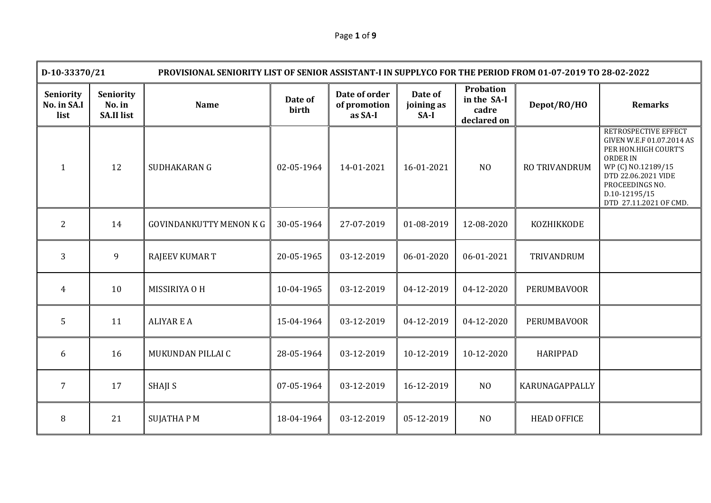| Page 1 of 9 |  |  |
|-------------|--|--|
|-------------|--|--|

|                                  | D-10-33370/21<br>PROVISIONAL SENIORITY LIST OF SENIOR ASSISTANT-I IN SUPPLYCO FOR THE PERIOD FROM 01-07-2019 TO 28-02-2022 |                                |                  |                                          |                               |                                                         |                      |                                                                                                                                                                                                         |
|----------------------------------|----------------------------------------------------------------------------------------------------------------------------|--------------------------------|------------------|------------------------------------------|-------------------------------|---------------------------------------------------------|----------------------|---------------------------------------------------------------------------------------------------------------------------------------------------------------------------------------------------------|
| Seniority<br>No. in SA.I<br>list | <b>Seniority</b><br>No. in<br><b>SA.II list</b>                                                                            | <b>Name</b>                    | Date of<br>birth | Date of order<br>of promotion<br>as SA-I | Date of<br>joining as<br>SA-I | <b>Probation</b><br>in the SA-I<br>cadre<br>declared on | Depot/RO/HO          | <b>Remarks</b>                                                                                                                                                                                          |
| 1                                | 12                                                                                                                         | SUDHAKARAN G                   | 02-05-1964       | 14-01-2021                               | 16-01-2021                    | N <sub>O</sub>                                          | <b>RO TRIVANDRUM</b> | RETROSPECTIVE EFFECT<br>GIVEN W.E.F 01.07.2014 AS<br>PER HON.HIGH COURT'S<br><b>ORDER IN</b><br>WP (C) NO.12189/15<br>DTD 22.06.2021 VIDE<br>PROCEEDINGS NO.<br>D.10-12195/15<br>DTD 27.11.2021 OF CMD. |
| 2                                | 14                                                                                                                         | <b>GOVINDANKUTTY MENON K G</b> | 30-05-1964       | 27-07-2019                               | 01-08-2019                    | 12-08-2020                                              | KOZHIKKODE           |                                                                                                                                                                                                         |
| $\overline{3}$                   | 9                                                                                                                          | <b>RAJEEV KUMAR T</b>          | 20-05-1965       | 03-12-2019                               | 06-01-2020                    | 06-01-2021                                              | TRIVANDRUM           |                                                                                                                                                                                                         |
| 4                                | 10                                                                                                                         | MISSIRIYA O H                  | 10-04-1965       | 03-12-2019                               | 04-12-2019                    | 04-12-2020                                              | <b>PERUMBAVOOR</b>   |                                                                                                                                                                                                         |
| 5                                | 11                                                                                                                         | <b>ALIYAR E A</b>              | 15-04-1964       | 03-12-2019                               | 04-12-2019                    | 04-12-2020                                              | <b>PERUMBAVOOR</b>   |                                                                                                                                                                                                         |
| 6                                | 16                                                                                                                         | MUKUNDAN PILLAI C              | 28-05-1964       | 03-12-2019                               | 10-12-2019                    | 10-12-2020                                              | <b>HARIPPAD</b>      |                                                                                                                                                                                                         |
| $\overline{7}$                   | 17                                                                                                                         | <b>SHAJI S</b>                 | 07-05-1964       | 03-12-2019                               | 16-12-2019                    | N <sub>O</sub>                                          | KARUNAGAPPALLY       |                                                                                                                                                                                                         |
| 8                                | 21                                                                                                                         | <b>SUJATHAPM</b>               | 18-04-1964       | 03-12-2019                               | 05-12-2019                    | N <sub>O</sub>                                          | <b>HEAD OFFICE</b>   |                                                                                                                                                                                                         |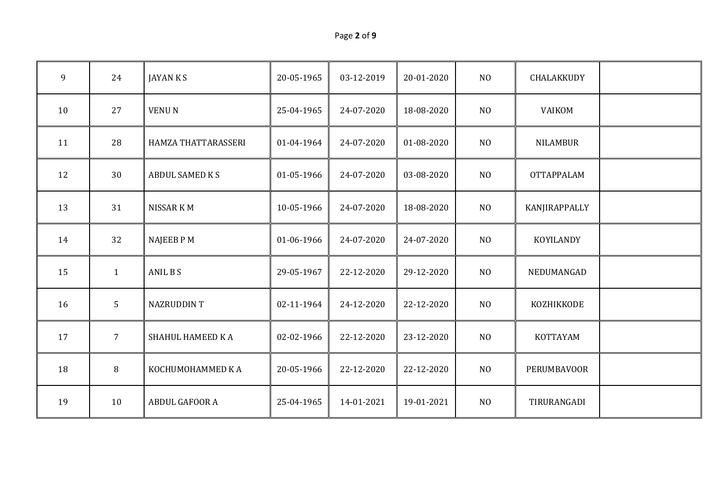| Page 2 of 9 |  |  |  |
|-------------|--|--|--|
|-------------|--|--|--|

| 9  | 24             | <b>JAYANKS</b>         | 20-05-1965 | 03-12-2019 | 20-01-2020 | NO             | CHALAKKUDY        |  |
|----|----------------|------------------------|------------|------------|------------|----------------|-------------------|--|
| 10 | 27             | <b>VENUN</b>           | 25-04-1965 | 24-07-2020 | 18-08-2020 | NO             | VAIKOM            |  |
| 11 | 28             | HAMZA THATTARASSERI    | 01-04-1964 | 24-07-2020 | 01-08-2020 | N <sub>O</sub> | <b>NILAMBUR</b>   |  |
| 12 | 30             | <b>ABDUL SAMED K S</b> | 01-05-1966 | 24-07-2020 | 03-08-2020 | NO             | <b>OTTAPPALAM</b> |  |
| 13 | 31             | NISSAR KM              | 10-05-1966 | 24-07-2020 | 18-08-2020 | NO             | KANJIRAPPALLY     |  |
| 14 | 32             | <b>NAJEEB PM</b>       | 01-06-1966 | 24-07-2020 | 24-07-2020 | NO             | KOYILANDY         |  |
| 15 | $\mathbf{1}$   | ANIL B S               | 29-05-1967 | 22-12-2020 | 29-12-2020 | N <sub>O</sub> | NEDUMANGAD        |  |
| 16 | 5              | <b>NAZRUDDINT</b>      | 02-11-1964 | 24-12-2020 | 22-12-2020 | NO             | KOZHIKKODE        |  |
| 17 | $\overline{7}$ | SHAHUL HAMEED KA       | 02-02-1966 | 22-12-2020 | 23-12-2020 | N <sub>O</sub> | KOTTAYAM          |  |
| 18 | 8              | KOCHUMOHAMMED KA       | 20-05-1966 | 22-12-2020 | 22-12-2020 | NO             | PERUMBAVOOR       |  |
| 19 | 10             | ABDUL GAFOOR A         | 25-04-1965 | 14-01-2021 | 19-01-2021 | NO             | TIRURANGADI       |  |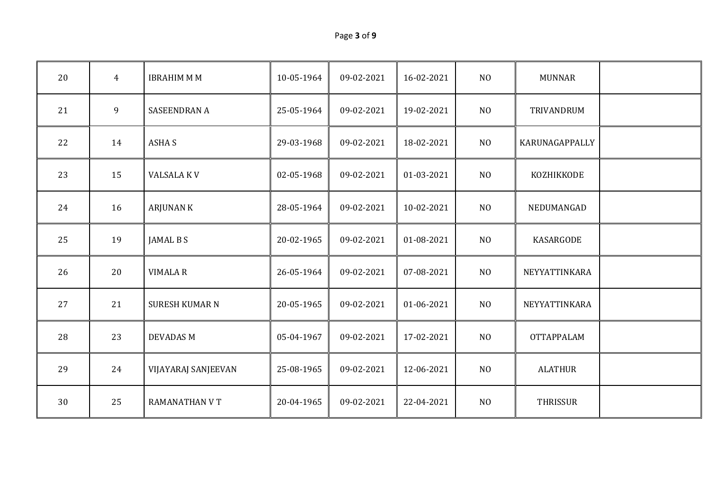| Page 3 of 9 |  |  |
|-------------|--|--|
|-------------|--|--|

| 20 | $\overline{4}$ | <b>IBRAHIM M M</b>    | 10-05-1964 | 09-02-2021 | 16-02-2021 | NO             | <b>MUNNAR</b>     |  |
|----|----------------|-----------------------|------------|------------|------------|----------------|-------------------|--|
| 21 | 9              | <b>SASEENDRAN A</b>   | 25-05-1964 | 09-02-2021 | 19-02-2021 | NO             | TRIVANDRUM        |  |
| 22 | 14             | <b>ASHAS</b>          | 29-03-1968 | 09-02-2021 | 18-02-2021 | NO             | KARUNAGAPPALLY    |  |
| 23 | 15             | <b>VALSALA KV</b>     | 02-05-1968 | 09-02-2021 | 01-03-2021 | N <sub>O</sub> | KOZHIKKODE        |  |
| 24 | 16             | <b>ARJUNAN K</b>      | 28-05-1964 | 09-02-2021 | 10-02-2021 | NO             | NEDUMANGAD        |  |
| 25 | 19             | JAMAL B S             | 20-02-1965 | 09-02-2021 | 01-08-2021 | N <sub>O</sub> | KASARGODE         |  |
| 26 | 20             | <b>VIMALA R</b>       | 26-05-1964 | 09-02-2021 | 07-08-2021 | N <sub>O</sub> | NEYYATTINKARA     |  |
| 27 | 21             | <b>SURESH KUMAR N</b> | 20-05-1965 | 09-02-2021 | 01-06-2021 | N <sub>0</sub> | NEYYATTINKARA     |  |
| 28 | 23             | <b>DEVADAS M</b>      | 05-04-1967 | 09-02-2021 | 17-02-2021 | N <sub>O</sub> | <b>OTTAPPALAM</b> |  |
| 29 | 24             | VIJAYARAJ SANJEEVAN   | 25-08-1965 | 09-02-2021 | 12-06-2021 | $\rm NO$       | <b>ALATHUR</b>    |  |
| 30 | 25             | <b>RAMANATHAN V T</b> | 20-04-1965 | 09-02-2021 | 22-04-2021 | NO             | THRISSUR          |  |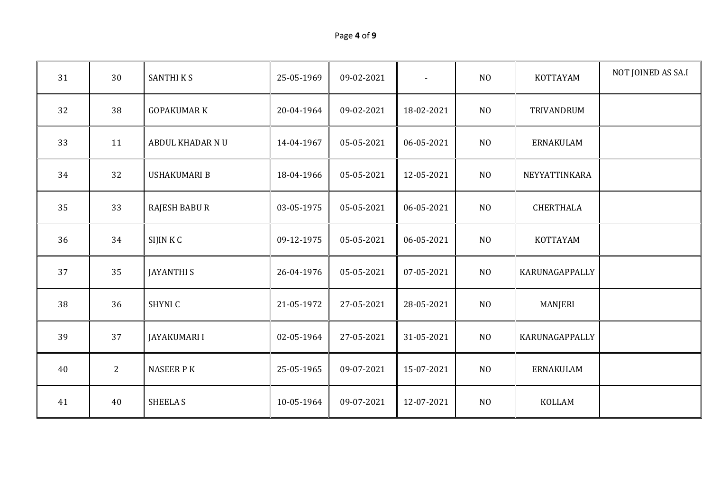| Page 4 of 9 |  |  |
|-------------|--|--|
|-------------|--|--|

| 31 | 30             | <b>SANTHIKS</b>      | 25-05-1969 | 09-02-2021 | $\blacksquare$ | N <sub>O</sub> | KOTTAYAM       | NOT JOINED AS SA.I |
|----|----------------|----------------------|------------|------------|----------------|----------------|----------------|--------------------|
| 32 | 38             | <b>GOPAKUMAR K</b>   | 20-04-1964 | 09-02-2021 | 18-02-2021     | N <sub>O</sub> | TRIVANDRUM     |                    |
| 33 | 11             | ABDUL KHADAR NU      | 14-04-1967 | 05-05-2021 | 06-05-2021     | N <sub>O</sub> | ERNAKULAM      |                    |
| 34 | 32             | <b>USHAKUMARI B</b>  | 18-04-1966 | 05-05-2021 | 12-05-2021     | N <sub>O</sub> | NEYYATTINKARA  |                    |
| 35 | 33             | <b>RAJESH BABU R</b> | 03-05-1975 | 05-05-2021 | 06-05-2021     | N <sub>O</sub> | CHERTHALA      |                    |
| 36 | 34             | SIJIN KC             | 09-12-1975 | 05-05-2021 | 06-05-2021     | N <sub>O</sub> | KOTTAYAM       |                    |
| 37 | 35             | <b>JAYANTHI S</b>    | 26-04-1976 | 05-05-2021 | 07-05-2021     | N <sub>O</sub> | KARUNAGAPPALLY |                    |
| 38 | 36             | SHYNI C              | 21-05-1972 | 27-05-2021 | 28-05-2021     | N <sub>O</sub> | <b>MANJERI</b> |                    |
| 39 | 37             | <b>JAYAKUMARI I</b>  | 02-05-1964 | 27-05-2021 | 31-05-2021     | N <sub>O</sub> | KARUNAGAPPALLY |                    |
| 40 | $\overline{2}$ | <b>NASEER PK</b>     | 25-05-1965 | 09-07-2021 | 15-07-2021     | N <sub>O</sub> | ERNAKULAM      |                    |
| 41 | 40             | <b>SHEELA S</b>      | 10-05-1964 | 09-07-2021 | 12-07-2021     | N <sub>O</sub> | <b>KOLLAM</b>  |                    |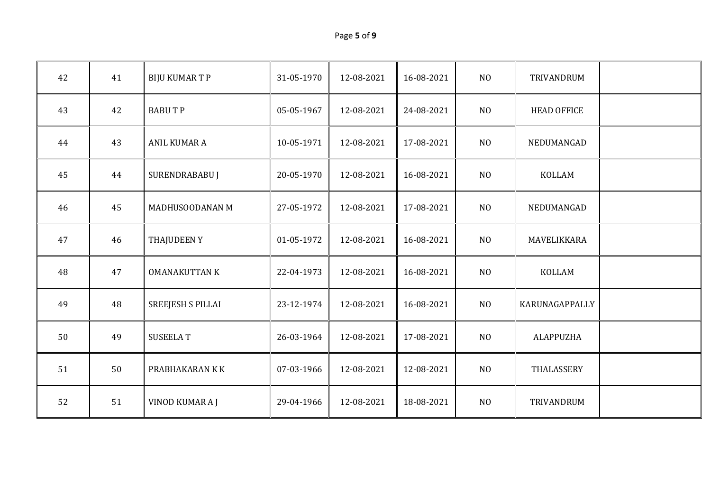| Page 5 of 9 |  |
|-------------|--|
|-------------|--|

| 42 | 41 | <b>BIJU KUMAR T P</b>    | 31-05-1970 | 12-08-2021 | 16-08-2021 | N <sub>O</sub> | TRIVANDRUM         |  |
|----|----|--------------------------|------------|------------|------------|----------------|--------------------|--|
| 43 | 42 | <b>BABUTP</b>            | 05-05-1967 | 12-08-2021 | 24-08-2021 | N <sub>O</sub> | <b>HEAD OFFICE</b> |  |
| 44 | 43 | ANIL KUMAR A             | 10-05-1971 | 12-08-2021 | 17-08-2021 | N <sub>O</sub> | NEDUMANGAD         |  |
| 45 | 44 | SURENDRABABU J           | 20-05-1970 | 12-08-2021 | 16-08-2021 | N <sub>O</sub> | KOLLAM             |  |
| 46 | 45 | MADHUSOODANAN M          | 27-05-1972 | 12-08-2021 | 17-08-2021 | N <sub>O</sub> | NEDUMANGAD         |  |
| 47 | 46 | <b>THAJUDEENY</b>        | 01-05-1972 | 12-08-2021 | 16-08-2021 | N <sub>O</sub> | MAVELIKKARA        |  |
| 48 | 47 | <b>OMANAKUTTAN K</b>     | 22-04-1973 | 12-08-2021 | 16-08-2021 | NO             | <b>KOLLAM</b>      |  |
| 49 | 48 | <b>SREEJESH S PILLAI</b> | 23-12-1974 | 12-08-2021 | 16-08-2021 | N <sub>O</sub> | KARUNAGAPPALLY     |  |
| 50 | 49 | <b>SUSEELAT</b>          | 26-03-1964 | 12-08-2021 | 17-08-2021 | N <sub>O</sub> | <b>ALAPPUZHA</b>   |  |
| 51 | 50 | PRABHAKARAN K K          | 07-03-1966 | 12-08-2021 | 12-08-2021 | N <sub>O</sub> | THALASSERY         |  |
| 52 | 51 | VINOD KUMAR A J          | 29-04-1966 | 12-08-2021 | 18-08-2021 | N <sub>0</sub> | TRIVANDRUM         |  |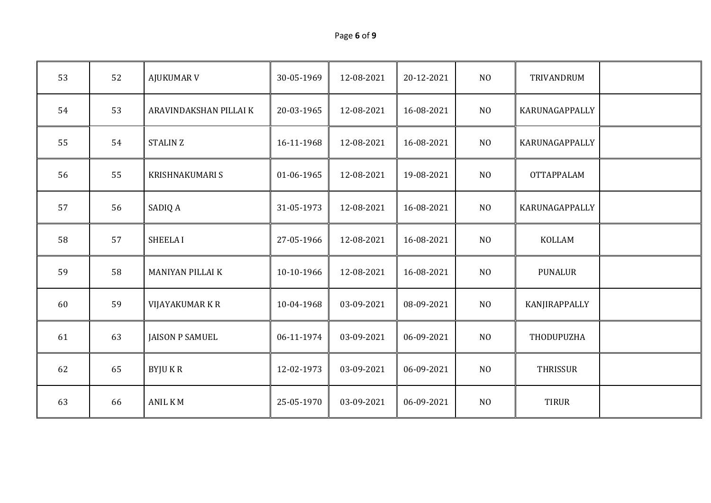| Page 6 of 9 |  |  |  |
|-------------|--|--|--|
|-------------|--|--|--|

| 53 | 52 | <b>AJUKUMAR V</b>       | 30-05-1969 | 12-08-2021 | 20-12-2021 | N <sub>O</sub> | TRIVANDRUM        |  |
|----|----|-------------------------|------------|------------|------------|----------------|-------------------|--|
| 54 | 53 | ARAVINDAKSHAN PILLAI K  | 20-03-1965 | 12-08-2021 | 16-08-2021 | N <sub>O</sub> | KARUNAGAPPALLY    |  |
| 55 | 54 | STALIN Z                | 16-11-1968 | 12-08-2021 | 16-08-2021 | N <sub>O</sub> | KARUNAGAPPALLY    |  |
| 56 | 55 | <b>KRISHNAKUMARI S</b>  | 01-06-1965 | 12-08-2021 | 19-08-2021 | N <sub>O</sub> | <b>OTTAPPALAM</b> |  |
| 57 | 56 | SADIQ A                 | 31-05-1973 | 12-08-2021 | 16-08-2021 | N <sub>O</sub> | KARUNAGAPPALLY    |  |
| 58 | 57 | <b>SHEELAI</b>          | 27-05-1966 | 12-08-2021 | 16-08-2021 | N <sub>O</sub> | <b>KOLLAM</b>     |  |
| 59 | 58 | <b>MANIYAN PILLAI K</b> | 10-10-1966 | 12-08-2021 | 16-08-2021 | N <sub>O</sub> | <b>PUNALUR</b>    |  |
| 60 | 59 | VIJAYAKUMAR K R         | 10-04-1968 | 03-09-2021 | 08-09-2021 | N <sub>O</sub> | KANJIRAPPALLY     |  |
| 61 | 63 | <b>JAISON P SAMUEL</b>  | 06-11-1974 | 03-09-2021 | 06-09-2021 | N <sub>O</sub> | THODUPUZHA        |  |
| 62 | 65 | <b>BYJUKR</b>           | 12-02-1973 | 03-09-2021 | 06-09-2021 | N <sub>O</sub> | <b>THRISSUR</b>   |  |
| 63 | 66 | <b>ANIL KM</b>          | 25-05-1970 | 03-09-2021 | 06-09-2021 | N <sub>O</sub> | <b>TIRUR</b>      |  |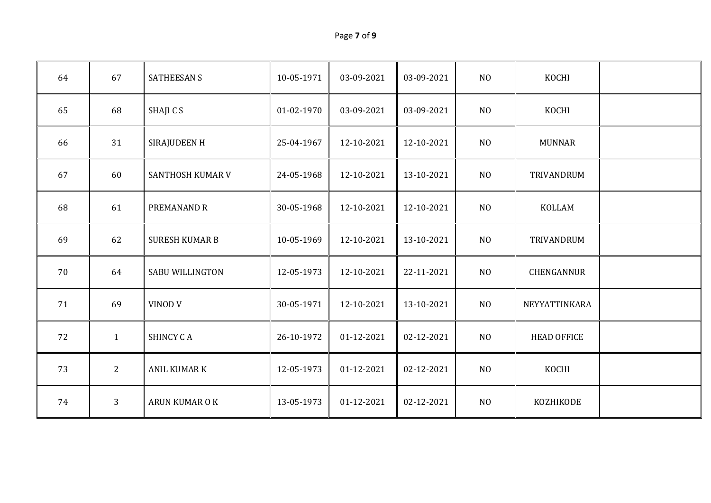| Page 7 of 9 |  |
|-------------|--|
|-------------|--|

| 64 | 67           | <b>SATHEESAN S</b>     | 10-05-1971 | 03-09-2021 | 03-09-2021 | N <sub>0</sub> | KOCHI              |  |
|----|--------------|------------------------|------------|------------|------------|----------------|--------------------|--|
| 65 | 68           | SHAJI C S              | 01-02-1970 | 03-09-2021 | 03-09-2021 | NO             | KOCHI              |  |
| 66 | 31           | SIRAJUDEEN H           | 25-04-1967 | 12-10-2021 | 12-10-2021 | N <sub>O</sub> | <b>MUNNAR</b>      |  |
| 67 | 60           | SANTHOSH KUMAR V       | 24-05-1968 | 12-10-2021 | 13-10-2021 | N <sub>O</sub> | TRIVANDRUM         |  |
| 68 | 61           | PREMANAND R            | 30-05-1968 | 12-10-2021 | 12-10-2021 | $\rm NO$       | <b>KOLLAM</b>      |  |
| 69 | 62           | <b>SURESH KUMAR B</b>  | 10-05-1969 | 12-10-2021 | 13-10-2021 | NO             | TRIVANDRUM         |  |
| 70 | 64           | <b>SABU WILLINGTON</b> | 12-05-1973 | 12-10-2021 | 22-11-2021 | N <sub>O</sub> | CHENGANNUR         |  |
| 71 | 69           | VINOD V                | 30-05-1971 | 12-10-2021 | 13-10-2021 | N <sub>O</sub> | NEYYATTINKARA      |  |
| 72 | $\mathbf{1}$ | <b>SHINCY CA</b>       | 26-10-1972 | 01-12-2021 | 02-12-2021 | N <sub>O</sub> | <b>HEAD OFFICE</b> |  |
| 73 | $2^{\circ}$  | <b>ANIL KUMAR K</b>    | 12-05-1973 | 01-12-2021 | 02-12-2021 | N <sub>0</sub> | KOCHI              |  |
| 74 | 3            | ARUN KUMAR O K         | 13-05-1973 | 01-12-2021 | 02-12-2021 | $\rm NO$       | KOZHIKODE          |  |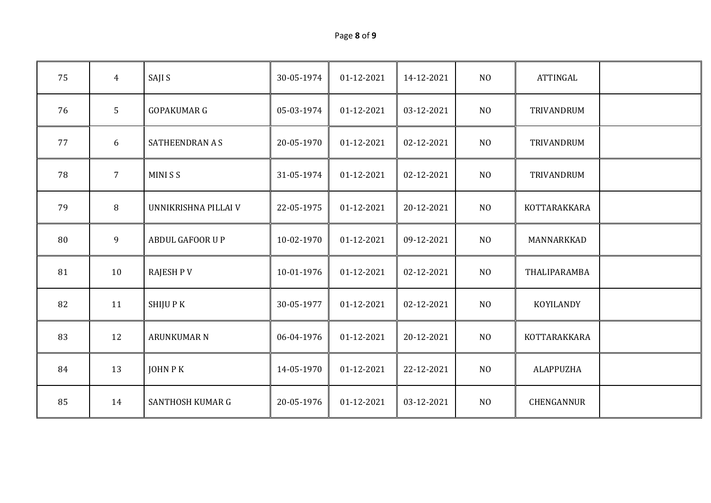| Page 8 of 9 |  |
|-------------|--|
|-------------|--|

| 75 | $\overline{4}$ | SAJI S                  | 30-05-1974 | 01-12-2021 | 14-12-2021 | N <sub>O</sub> | <b>ATTINGAL</b>  |  |
|----|----------------|-------------------------|------------|------------|------------|----------------|------------------|--|
| 76 | 5              | <b>GOPAKUMAR G</b>      | 05-03-1974 | 01-12-2021 | 03-12-2021 | N <sub>0</sub> | TRIVANDRUM       |  |
| 77 | 6              | SATHEENDRAN A S         | 20-05-1970 | 01-12-2021 | 02-12-2021 | N <sub>O</sub> | TRIVANDRUM       |  |
| 78 | $\overline{7}$ | <b>MINISS</b>           | 31-05-1974 | 01-12-2021 | 02-12-2021 | N <sub>O</sub> | TRIVANDRUM       |  |
| 79 | 8              | UNNIKRISHNA PILLAI V    | 22-05-1975 | 01-12-2021 | 20-12-2021 | N <sub>O</sub> | KOTTARAKKARA     |  |
| 80 | 9              | ABDUL GAFOOR U P        | 10-02-1970 | 01-12-2021 | 09-12-2021 | N <sub>O</sub> | MANNARKKAD       |  |
| 81 | 10             | <b>RAJESH PV</b>        | 10-01-1976 | 01-12-2021 | 02-12-2021 | NO             | THALIPARAMBA     |  |
| 82 | 11             | SHIJU P K               | 30-05-1977 | 01-12-2021 | 02-12-2021 | N <sub>O</sub> | KOYILANDY        |  |
| 83 | 12             | <b>ARUNKUMAR N</b>      | 06-04-1976 | 01-12-2021 | 20-12-2021 | NO             | KOTTARAKKARA     |  |
| 84 | 13             | JOHN P K                | 14-05-1970 | 01-12-2021 | 22-12-2021 | N <sub>0</sub> | <b>ALAPPUZHA</b> |  |
| 85 | 14             | <b>SANTHOSH KUMAR G</b> | 20-05-1976 | 01-12-2021 | 03-12-2021 | N <sub>O</sub> | CHENGANNUR       |  |